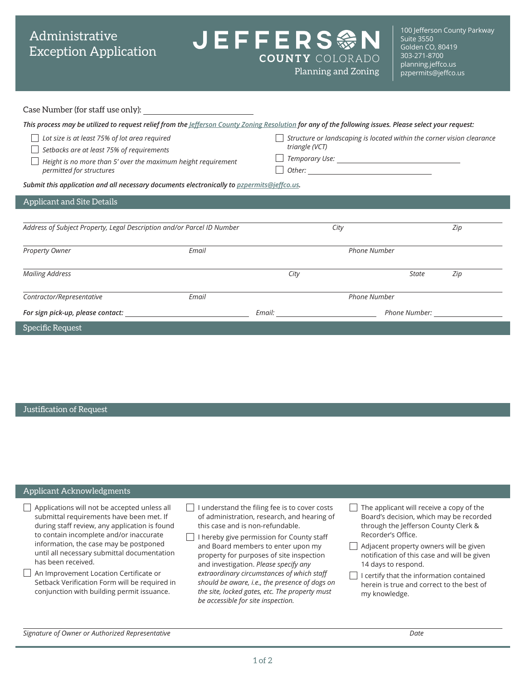# Administrative Exception Application

**JEFFERS參N**  $\overline{\phantom{a}}$ **COUNTY COLORADO** 

100 Jefferson County Parkway Suite 3550 Golden CO, 80419 303-271-8700 [planning.jeffco.us](http://planning.jeffco.us) Planning and Zoning partitives provided propermits@jeffco.us

| Case Number (for staff use only): |  |  |  |
|-----------------------------------|--|--|--|
|-----------------------------------|--|--|--|

| This process may be utilized to request relief from the <i><u>lefferson County Zoning Resolution</u> for any of the following issues. Please select your request:</i>                   |       |                                                                                          |               |     |  |  |  |
|-----------------------------------------------------------------------------------------------------------------------------------------------------------------------------------------|-------|------------------------------------------------------------------------------------------|---------------|-----|--|--|--|
| Lot size is at least 75% of lot area required<br>Setbacks are at least 75% of requirements<br>Height is no more than 5' over the maximum height requirement<br>permitted for structures |       | Structure or landscaping is located within the corner vision clearance<br>triangle (VCT) |               |     |  |  |  |
| Submit this application and all necessary documents electronically to pzpermits@jeffco.us.                                                                                              |       |                                                                                          |               |     |  |  |  |
| <b>Applicant and Site Details</b>                                                                                                                                                       |       |                                                                                          |               |     |  |  |  |
|                                                                                                                                                                                         |       |                                                                                          |               |     |  |  |  |
| Address of Subject Property, Legal Description and/or Parcel ID Number                                                                                                                  |       | City                                                                                     |               | Zip |  |  |  |
| Property Owner                                                                                                                                                                          | Email | <b>Phone Number</b>                                                                      |               |     |  |  |  |
| <b>Mailing Address</b>                                                                                                                                                                  |       | City                                                                                     | <b>State</b>  | Zip |  |  |  |
| Contractor/Representative                                                                                                                                                               | Email | <b>Phone Number</b>                                                                      |               |     |  |  |  |
| For sign pick-up, please contact: North Contactional Contact Contact Contact Contact Contact Contact Contact Co                                                                         |       | Email:                                                                                   | Phone Number: |     |  |  |  |
| Specific Request                                                                                                                                                                        |       |                                                                                          |               |     |  |  |  |

### Justification of Request

#### Applicant Acknowledgments Applications will not be accepted unless all submittal requirements have been met. If during staff review, any application is found to contain incomplete and/or inaccurate information, the case may be postponed until all necessary submittal documentation has been received. An Improvement Location Certificate or Setback Verification Form will be required in conjunction with building permit issuance.  $\Box$  I understand the filing fee is to cover costs of administration, research, and hearing of this case and is non-refundable.  $\Box$  I hereby give permission for County staff and Board members to enter upon my property for purposes of site inspection and investigation. *Please specify any extraordinary circumstances of which staff should be aware, i.e., the presence of dogs on the site, locked gates, etc. The property must be accessible for site inspection.*  $\Box$  The applicant will receive a copy of the Board's decision, which may be recorded through the Jefferson County Clerk & Recorder's Office. Adjacent property owners will be given notification of this case and will be given 14 days to respond.  $\Box$  I certify that the information contained herein is true and correct to the best of my knowledge.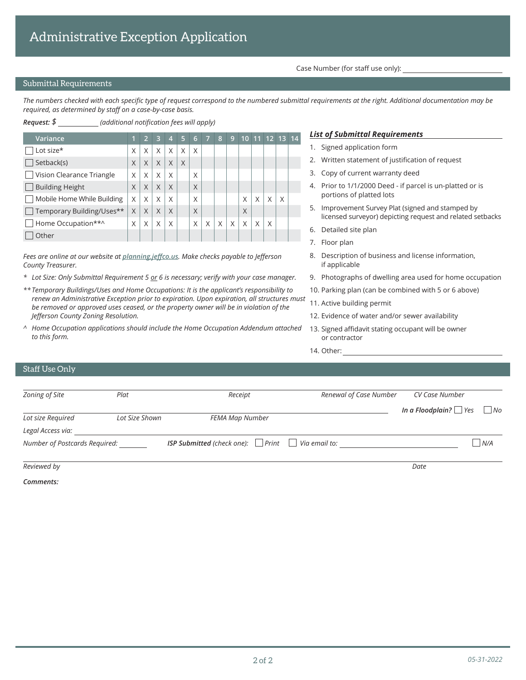Case Number (for staff use only):

## Submittal Requirements

*The numbers checked with each specific type of request correspond to the numbered submittal requirements at the right. Additional documentation may be required, as determined by staff on a case-by-case basis.*

| Request: \$<br>(additional notification fees will apply) |   |                |   |                |   |   |                |   |                |   |   |   |                |  |
|----------------------------------------------------------|---|----------------|---|----------------|---|---|----------------|---|----------------|---|---|---|----------------|--|
| Variance                                                 | 1 | $\overline{2}$ | 3 | $\overline{4}$ | 5 | 6 | $\overline{7}$ | 8 | $\overline{9}$ |   |   |   | 10 11 12 13 14 |  |
| Lot size*                                                | Χ | X              | X | X              | X | X |                |   |                |   |   |   |                |  |
| Setback(s)                                               | X | X              | X | X              | X |   |                |   |                |   |   |   |                |  |
| Vision Clearance Triangle                                | X | X              | X | X              |   | X |                |   |                |   |   |   |                |  |
| <b>Building Height</b>                                   | X | X              | X | X              |   | X |                |   |                |   |   |   |                |  |
| Mobile Home While Building                               | X | X              | X | X              |   | X |                |   |                | X | X | X | X              |  |
| Temporary Building/Uses**                                | X | X              | X | X              |   | X |                |   |                | X |   |   |                |  |
| Home Occupation**^                                       | X | X              | X | X              |   | X | Χ              | X | X              | X | X | X |                |  |
| Other                                                    |   |                |   |                |   |   |                |   |                |   |   |   |                |  |

*Fees are online at [our website](https://planning.jeffco.us) at planning.jeffco.us. Make checks payable to Jefferson County Treasurer.*

- *\* Lot Size: Only Submittal Requirement 5 or 6 is necessary; verify with your case manager.*
- *\*\* Temporary Buildings/Uses and Home Occupations: It is the applicant's responsibility to renew an Administrative Exception prior to expiration. Upon expiration, all structures must be removed or approved uses ceased, or the property owner will be in violation of the Jefferson County Zoning Resolution.*
- *^ Home Occupation applications should include the Home Occupation Addendum attached to this form.*

#### *List of Submittal Requirements*

- 1. Signed application form
- 2. Written statement of justification of request
- 3. Copy of current warranty deed
- 4. Prior to 1/1/2000 Deed if parcel is un-platted or is portions of platted lots
- 5. Improvement Survey Plat (signed and stamped by licensed surveyor) depicting request and related setbacks
- 6. Detailed site plan
- 7. Floor plan
- 8. Description of business and license information, if applicable
- 9. Photographs of dwelling area used for home occupation
- 10. Parking plan (can be combined with 5 or 6 above)
- 11. Active building permit
- 12. Evidence of water and/or sewer availability
- 13. Signed affidavit stating occupant will be owner or contractor
- 14. Other:

### Staff Use Only

| Zoning of Site                | Plat           | Receipt                                                             | Renewal of Case Number | CV Case Number                        |
|-------------------------------|----------------|---------------------------------------------------------------------|------------------------|---------------------------------------|
| Lot size Required             | Lot Size Shown | FEMA Map Number                                                     |                        | In a Floodplain? $\Box$ Yes $\Box$ No |
| Legal Access via:             |                |                                                                     |                        |                                       |
| Number of Postcards Required: |                | <b>ISP Submitted</b> (check one): $\Box$ Print $\Box$ Via email to: |                        | N/A                                   |
| Reviewed by                   |                |                                                                     |                        | Date                                  |

*Comments:*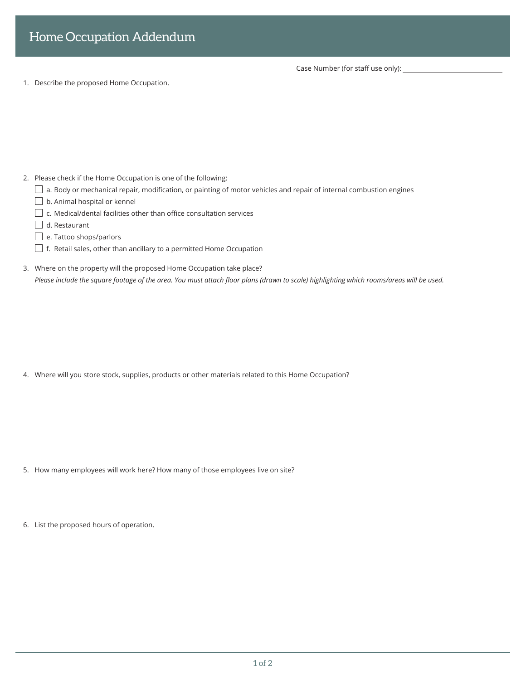Case Number (for staff use only):

1. Describe the proposed Home Occupation.

- 2. Please check if the Home Occupation is one of the following:
	- $\Box$  a. Body or mechanical repair, modification, or painting of motor vehicles and repair of internal combustion engines
	- $\Box$  b. Animal hospital or kennel
	- $\Box$  c. Medical/dental facilities other than office consultation services
	- $\Box$  d. Restaurant
	- e. Tattoo shops/parlors
	- $\Box$  f. Retail sales, other than ancillary to a permitted Home Occupation
- 3. Where on the property will the proposed Home Occupation take place? *Please include the square footage of the area. You must attach floor plans (drawn to scale) highlighting which rooms/areas will be used.*

4. Where will you store stock, supplies, products or other materials related to this Home Occupation?

- 5. How many employees will work here? How many of those employees live on site?
- 6. List the proposed hours of operation.